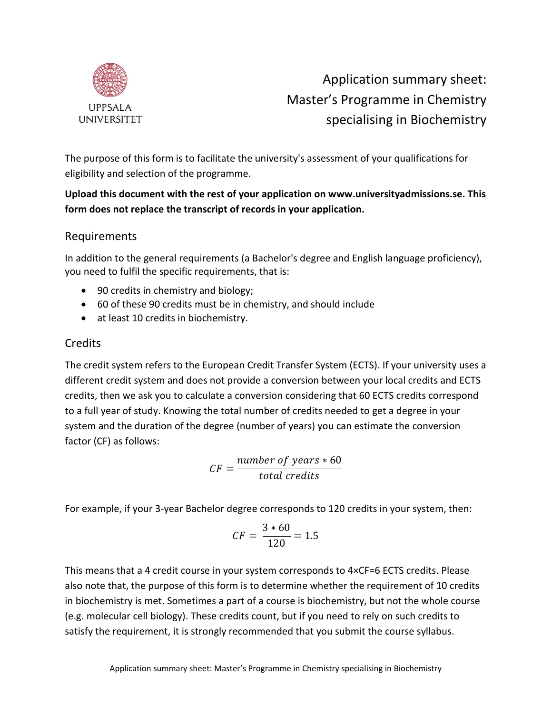

Application summary sheet: Master's Programme in Chemistry specialising in Biochemistry

 The purpose of this form is to facilitate the university's assessment of your qualifications for eligibility and selection of the programme.

 **form does not replace the transcript of records in your application. Upload this document with the rest of your application on [www.universityadmissions.se.](www.universityadmissions.se) This** 

### Requirements

In addition to the general requirements (a Bachelor's degree and English language proficiency), you need to fulfil the specific requirements, that is:

- 90 credits in chemistry and biology;
- 60 of these 90 credits must be in chemistry, and should include
- at least 10 credits in biochemistry.

## Credits

 The credit system refers to the European Credit Transfer System (ECTS). If your university uses a credits, then we ask you to calculate a conversion considering that 60 ECTS credits correspond different credit system and does not provide a conversion between your local credits and ECTS to a full year of study. Knowing the total number of credits needed to get a degree in your system and the duration of the degree (number of years) you can estimate the conversion factor (CF) as follows:

$$
CF = \frac{number\ of\ years*60}{total\ credits}
$$

For example, if your 3-year Bachelor degree corresponds to 120 credits in your system, then:

$$
CF = \frac{3*60}{120} = 1.5
$$

 also note that, the purpose of this form is to determine whether the requirement of 10 credits (e.g. molecular cell biology). These credits count, but if you need to rely on such credits to This means that a 4 credit course in your system corresponds to 4×CF=6 ECTS credits. Please in biochemistry is met. Sometimes a part of a course is biochemistry, but not the whole course satisfy the requirement, it is strongly recommended that you submit the course syllabus.